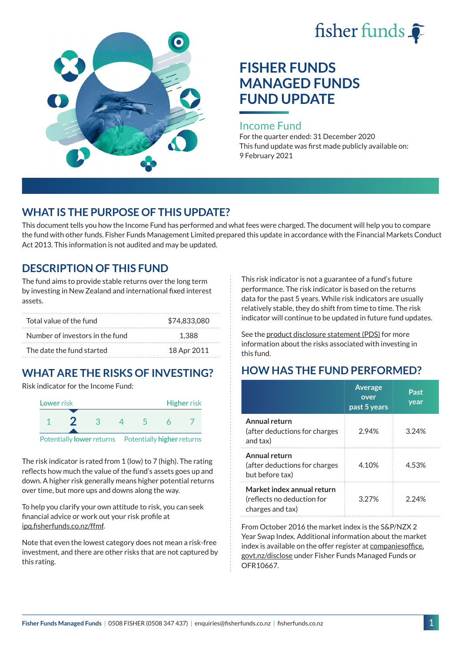



# **FISHER FUNDS MANAGED FUNDS FUND UPDATE**

#### Income Fund

For the quarter ended: 31 December 2020 This fund update was first made publicly available on: 9 February 2021

# **WHAT IS THE PURPOSE OF THIS UPDATE?**

This document tells you how the Income Fund has performed and what fees were charged. The document will help you to compare the fund with other funds. Fisher Funds Management Limited prepared this update in accordance with the Financial Markets Conduct Act 2013. This information is not audited and may be updated.

# **DESCRIPTION OF THIS FUND**

The fund aims to provide stable returns over the long term by investing in New Zealand and international fixed interest assets.

| Total value of the fund         | \$74.833.080 |
|---------------------------------|--------------|
| Number of investors in the fund | 1.388        |
| The date the fund started       | 18 Apr 2011  |

# **WHAT ARE THE RISKS OF INVESTING?**

Risk indicator for the Income Fund:



The risk indicator is rated from 1 (low) to 7 (high). The rating reflects how much the value of the fund's assets goes up and down. A higher risk generally means higher potential returns over time, but more ups and downs along the way.

To help you clarify your own attitude to risk, you can seek financial advice or work out your risk profile at [ipq.fisherfunds.co.nz/ffmf](https://ipq.fisherfunds.co.nz/ffmf).

Note that even the lowest category does not mean a risk-free investment, and there are other risks that are not captured by this rating.

This risk indicator is not a guarantee of a fund's future performance. The risk indicator is based on the returns data for the past 5 years. While risk indicators are usually relatively stable, they do shift from time to time. The risk indicator will continue to be updated in future fund updates.

See the [product disclosure statement \(PDS\)](https://fisherfunds.co.nz/assets/PDS/Fisher-Funds-Managed-Funds-PDS.pdf) for more information about the risks associated with investing in this fund.

# **HOW HAS THE FUND PERFORMED?**

|                                                                              | <b>Average</b><br>over<br>past 5 years | Past<br>year |
|------------------------------------------------------------------------------|----------------------------------------|--------------|
| Annual return<br>(after deductions for charges<br>and tax)                   | 2.94%                                  | 3.24%        |
| Annual return<br>(after deductions for charges<br>but before tax)            | 4.10%                                  | 4.53%        |
| Market index annual return<br>(reflects no deduction for<br>charges and tax) | 3 2 7 %                                | 2 24%        |

From October 2016 the market index is the S&P/NZX 2 Year Swap Index. Additional information about the market index is available on the offer register at [companiesoffice.](http://companiesoffice.govt.nz/disclose) [govt.nz/disclose](http://companiesoffice.govt.nz/disclose) under Fisher Funds Managed Funds or OFR10667.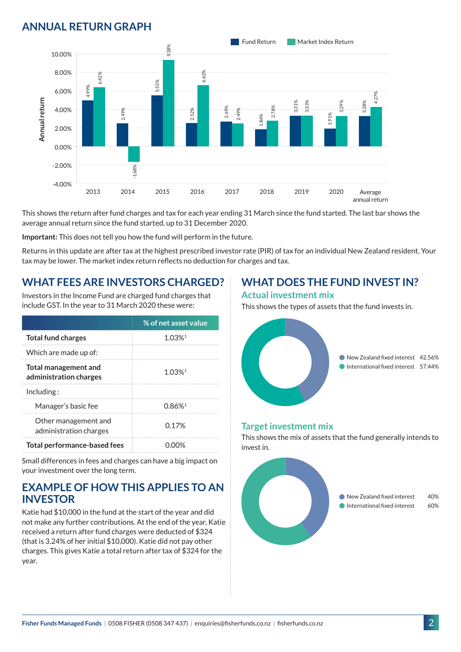# **ANNUAL RETURN GRAPH**



This shows the return after fund charges and tax for each year ending 31 March since the fund started. The last bar shows the average annual return since the fund started, up to 31 December 2020.

**Important:** This does not tell you how the fund will perform in the future.

Returns in this update are after tax at the highest prescribed investor rate (PIR) of tax for an individual New Zealand resident. Your tax may be lower. The market index return reflects no deduction for charges and tax.

### **WHAT FEES ARE INVESTORS CHARGED?**

Investors in the Income Fund are charged fund charges that include GST. In the year to 31 March 2020 these were:

|                                                       | % of net asset value |  |
|-------------------------------------------------------|----------------------|--|
| <b>Total fund charges</b>                             | $1.03%$ <sup>1</sup> |  |
| Which are made up of:                                 |                      |  |
| <b>Total management and</b><br>administration charges | 1 0.3%1              |  |
| Inding:                                               |                      |  |
| Manager's basic fee                                   | 0.86%                |  |
| Other management and<br>administration charges        | 0.17 <sup>%</sup>    |  |
| <b>Total performance-based fees</b>                   |                      |  |

Small differences in fees and charges can have a big impact on your investment over the long term.

#### **EXAMPLE OF HOW THIS APPLIES TO AN INVESTOR**

Katie had \$10,000 in the fund at the start of the year and did not make any further contributions. At the end of the year, Katie received a return after fund charges were deducted of \$324 (that is 3.24% of her initial \$10,000). Katie did not pay other charges. This gives Katie a total return after tax of \$324 for the year.

# **WHAT DOES THE FUND INVEST IN?**

#### **Actual investment mix**

This shows the types of assets that the fund invests in.



#### **Target investment mix**

This shows the mix of assets that the fund generally intends to invest in.